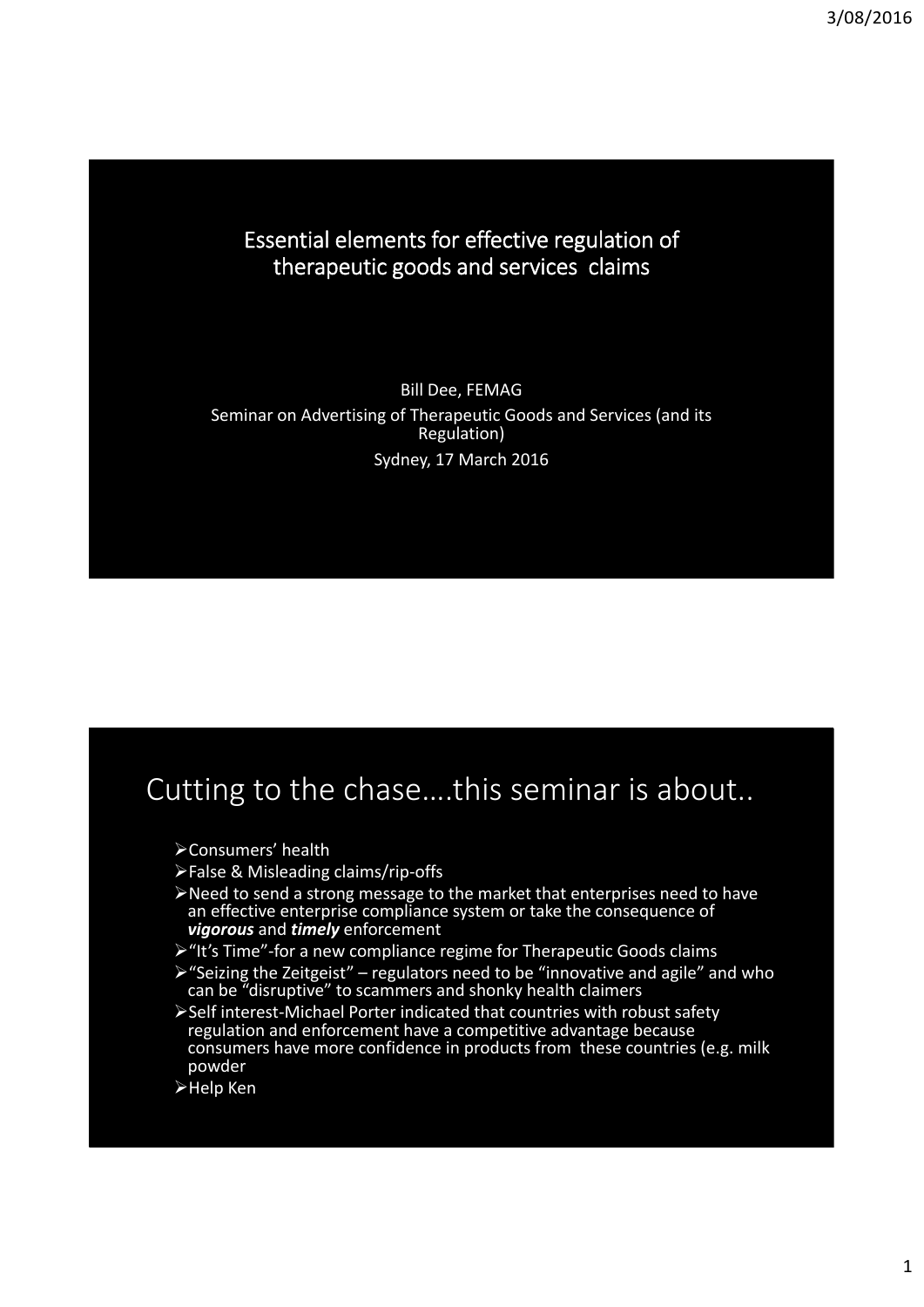#### Essential elements for effective regulation of therapeutic goods and services claims

Bill Dee, FEMAG Seminar on Advertising of Therapeutic Goods and Services (and its Regulation) Sydney, 17 March 2016

## Cutting to the chase….this seminar is about..

- Consumers' health
- False & Misleading claims/rip‐offs
- Need to send a strong message to the market that enterprises need to have an effective enterprise compliance system or take the consequence of *vigorous* and *timely* enforcement
- > "It's Time"-for a new compliance regime for Therapeutic Goods claims
- $\triangleright$  "Seizing the Zeitgeist" regulators need to be "innovative and agile" and who can be "disruptive" to scammers and shonky health claimers
- Self interest‐Michael Porter indicated that countries with robust safety regulation and enforcement have a competitive advantage because consumers have more confidence in products from these countries (e.g. milk powder
- Help Ken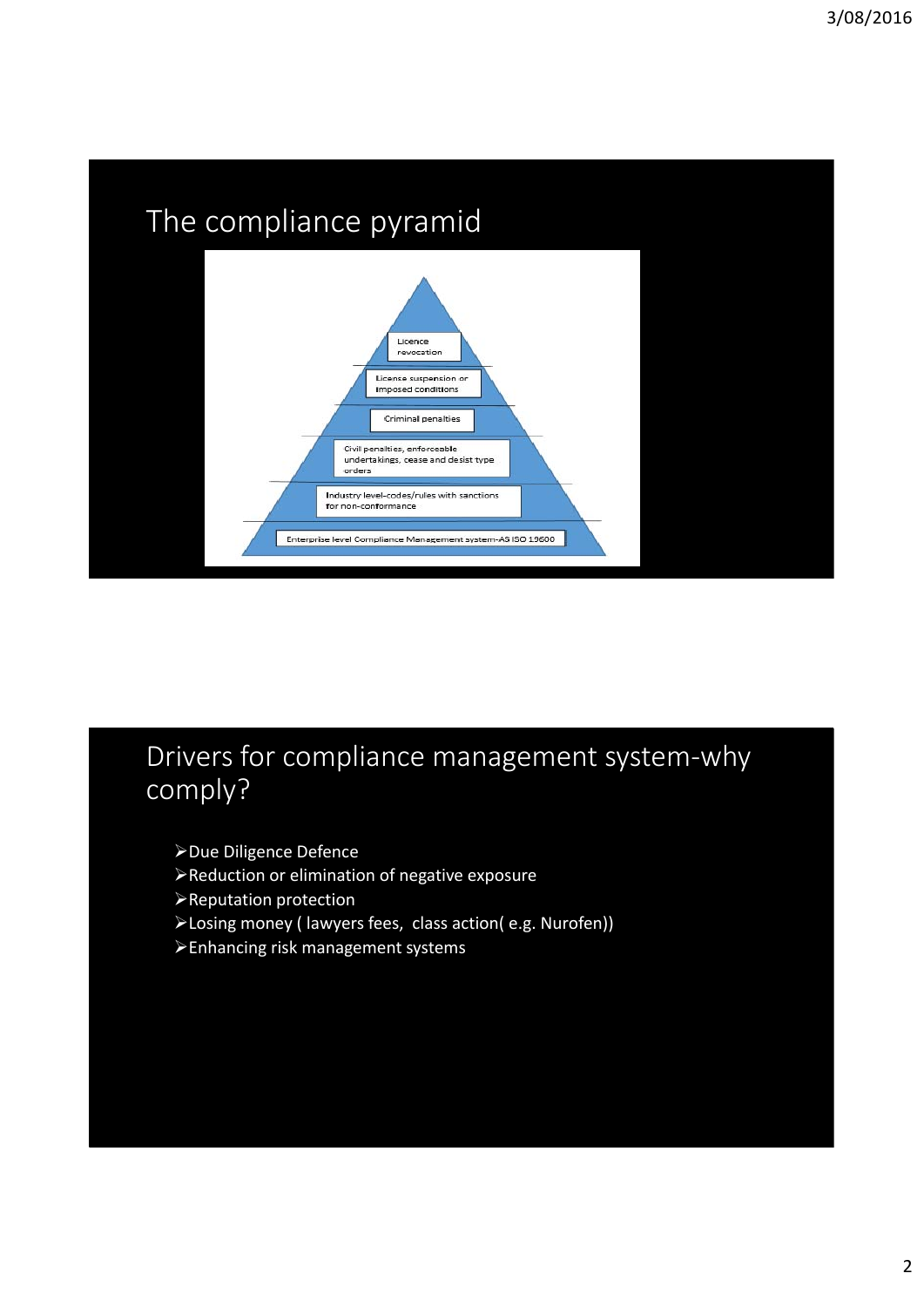

#### Drivers for compliance management system‐why comply?

- Due Diligence Defence
- Reduction or elimination of negative exposure
- Reputation protection
- Losing money ( lawyers fees, class action( e.g. Nurofen))
- Enhancing risk management systems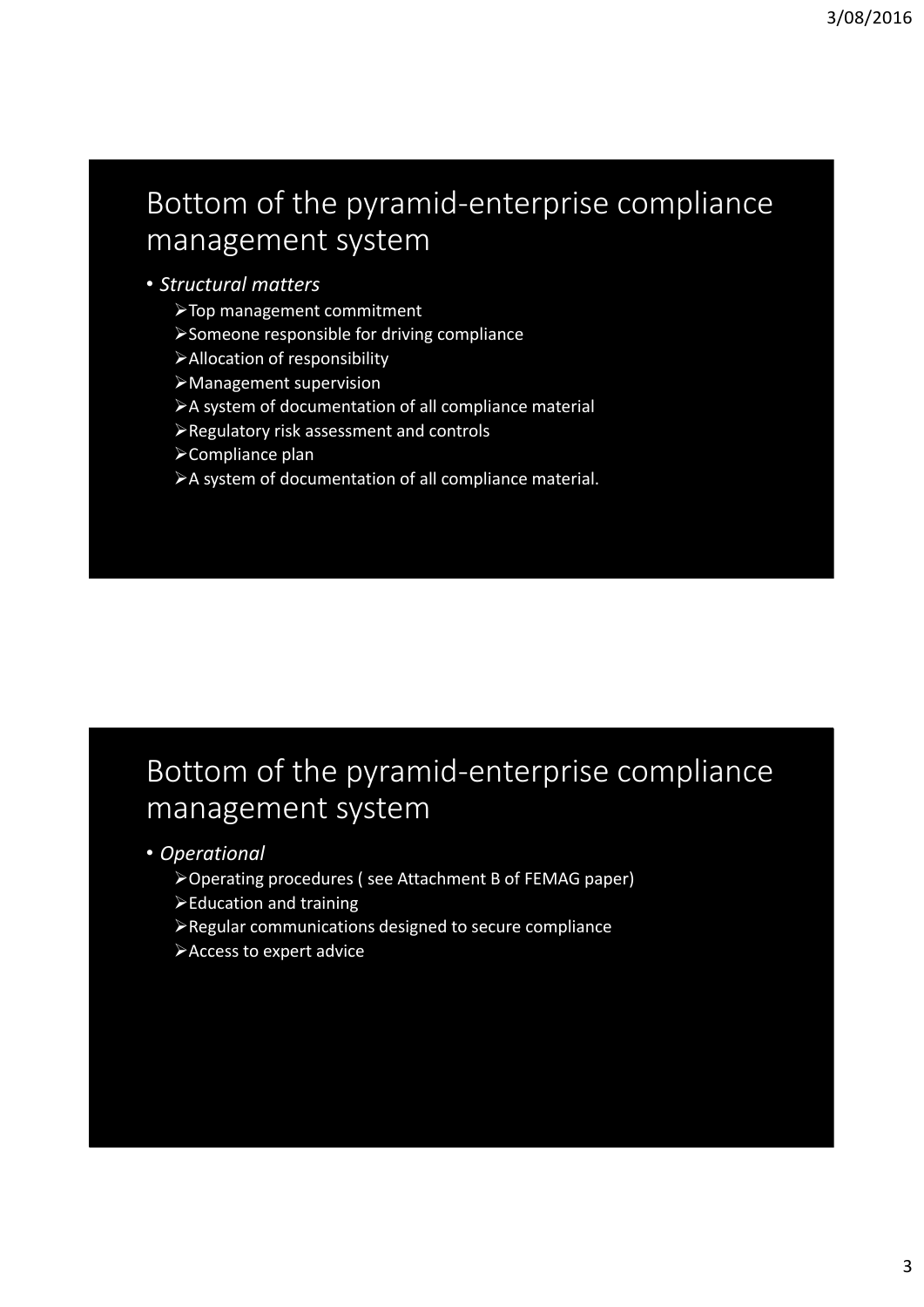# Bottom of the pyramid‐enterprise compliance management system

#### • *Structural matters*

- Top management commitment
- Someone responsible for driving compliance
- Allocation of responsibility
- Management supervision
- A system of documentation of all compliance material
- Regulatory risk assessment and controls
- Compliance plan
- A system of documentation of all compliance material.

## Bottom of the pyramid‐enterprise compliance management system

- *Operational*
	- Operating procedures ( see Attachment B of FEMAG paper)
	- Education and training
	- Regular communications designed to secure compliance
	- Access to expert advice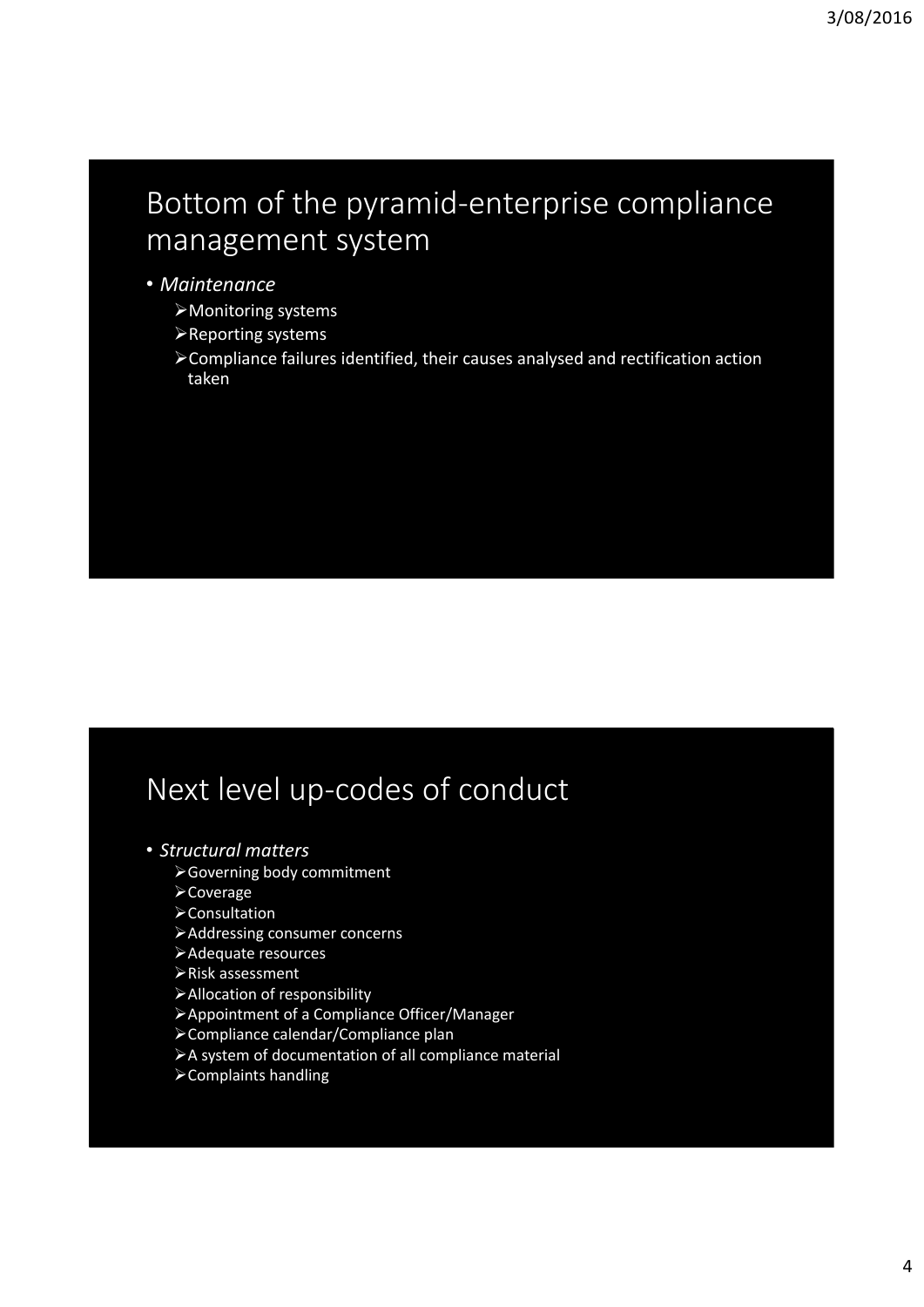# Bottom of the pyramid‐enterprise compliance management system

#### • *Maintenance*

- Monitoring systems
- Reporting systems
- Compliance failures identified, their causes analysed and rectification action taken

# Next level up‐codes of conduct

- *Structural matters*
	- Governing body commitment
	- Coverage
	- **≻Consultation**
	- Addressing consumer concerns
	- Adequate resources
	- Risk assessment
	- Allocation of responsibility
	- Appointment of a Compliance Officer/Manager
	- Compliance calendar/Compliance plan
	- A system of documentation of all compliance material
	- Complaints handling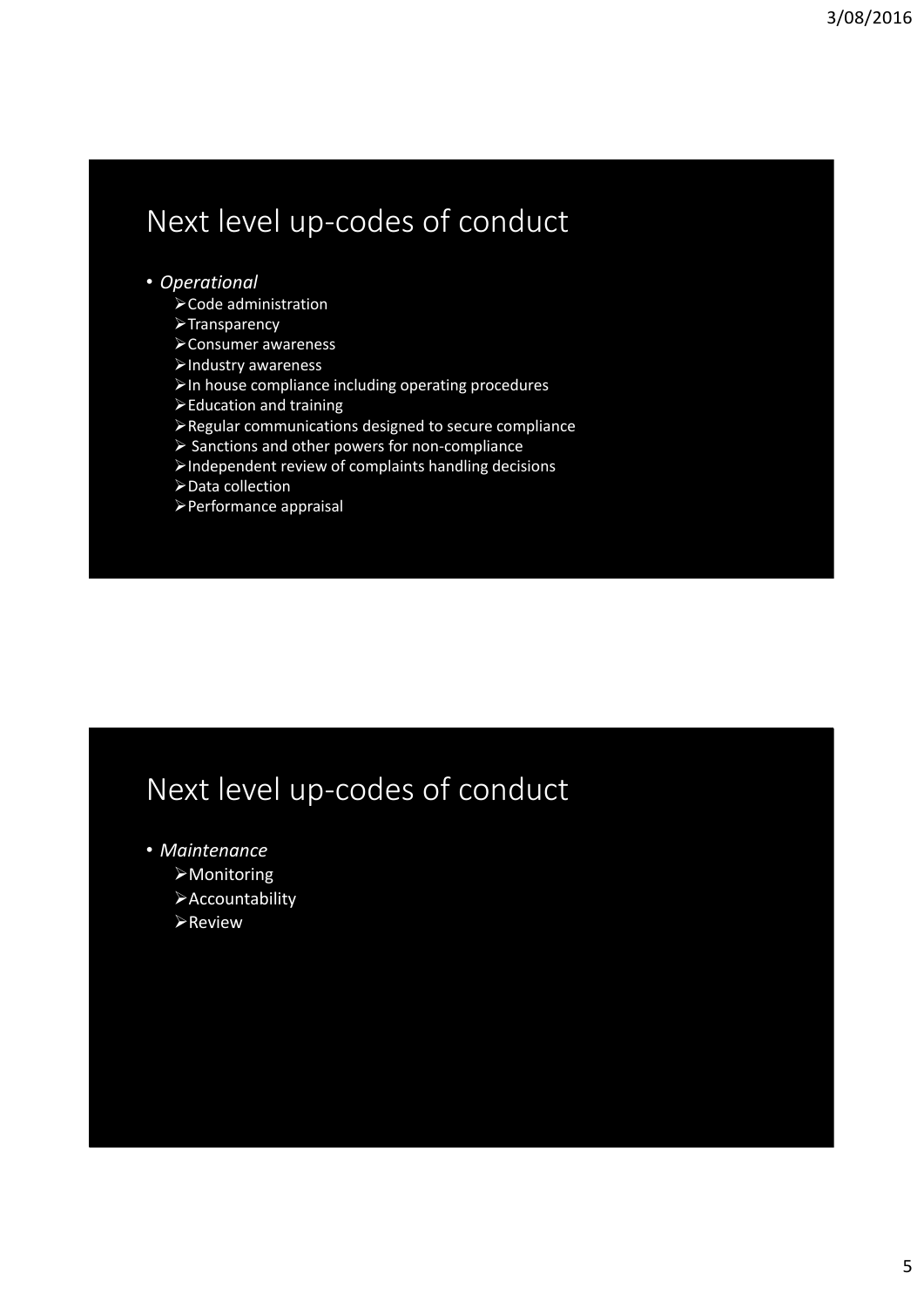## Next level up‐codes of conduct

#### • *Operational*

- Code administration
- **>Transparency**
- Consumer awareness
- Industry awareness
- $\triangleright$  In house compliance including operating procedures
- Education and training
- Regular communications designed to secure compliance
- Sanctions and other powers for non‐compliance
- Independent review of complaints handling decisions
- Data collection
- Performance appraisal

# Next level up‐codes of conduct

- *Maintenance*
	- Monitoring
	- Accountability
	- **>Review**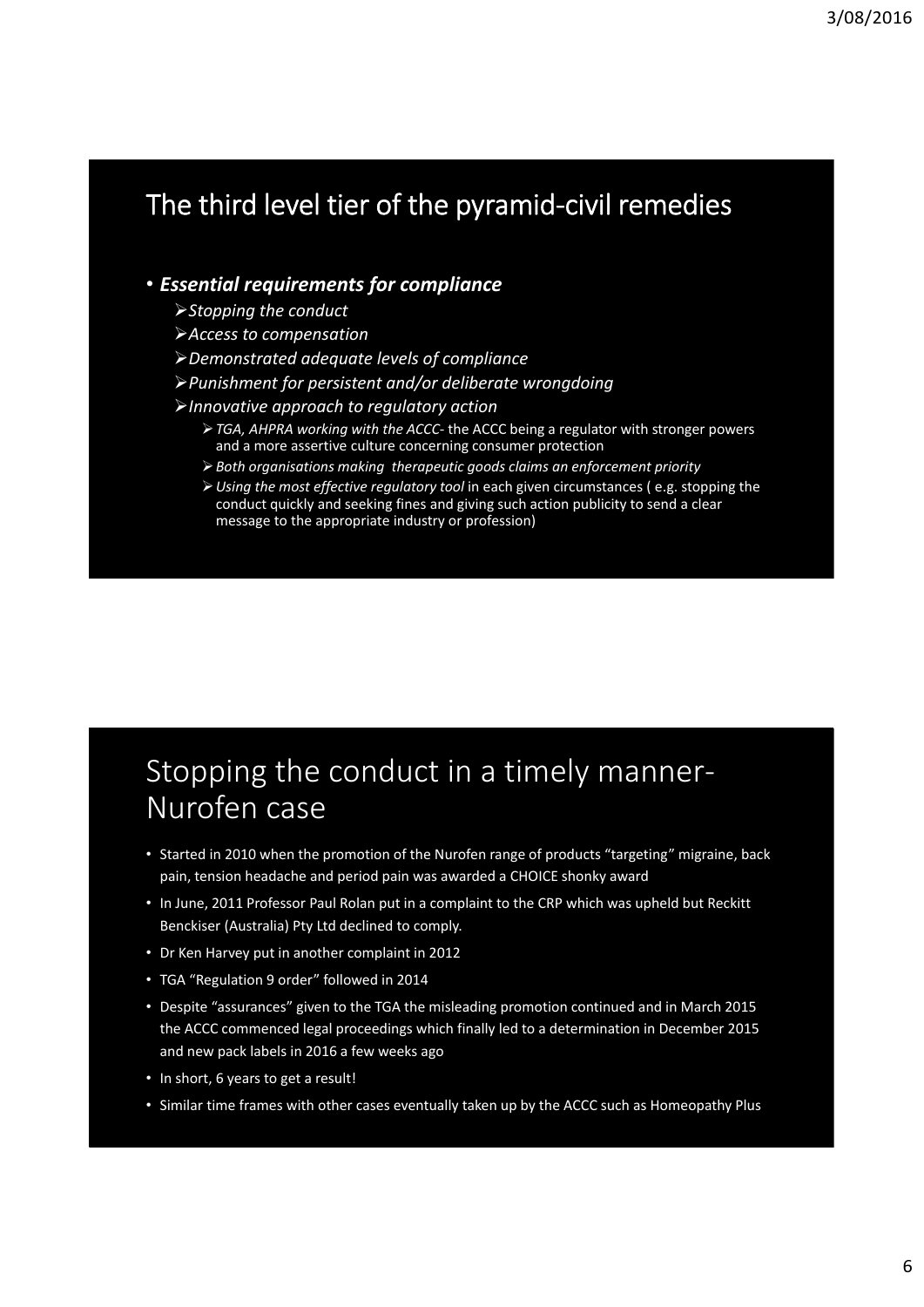## The third level tier of the pyramid‐civil remedies

#### • *Essential requirements for compliance*

- *Stopping the conduct*
- *Access to compensation*
- *Demonstrated adequate levels of compliance*
- *Punishment for persistent and/or deliberate wrongdoing*
- *Innovative approach to regulatory action*
	- *TGA, AHPRA working with the ACCC‐* the ACCC being a regulator with stronger powers and a more assertive culture concerning consumer protection
	- *Both organisations making therapeutic goods claims an enforcement priority*
	- *Using the most effective regulatory tool* in each given circumstances ( e.g. stopping the conduct quickly and seeking fines and giving such action publicity to send a clear message to the appropriate industry or profession)

## Stopping the conduct in a timely manner‐ Nurofen case

- Started in 2010 when the promotion of the Nurofen range of products "targeting" migraine, back pain, tension headache and period pain was awarded a CHOICE shonky award
- In June, 2011 Professor Paul Rolan put in a complaint to the CRP which was upheld but Reckitt Benckiser (Australia) Pty Ltd declined to comply.
- Dr Ken Harvey put in another complaint in 2012
- TGA "Regulation 9 order" followed in 2014
- Despite "assurances" given to the TGA the misleading promotion continued and in March 2015 the ACCC commenced legal proceedings which finally led to a determination in December 2015 and new pack labels in 2016 a few weeks ago
- In short, 6 years to get a result!
- Similar time frames with other cases eventually taken up by the ACCC such as Homeopathy Plus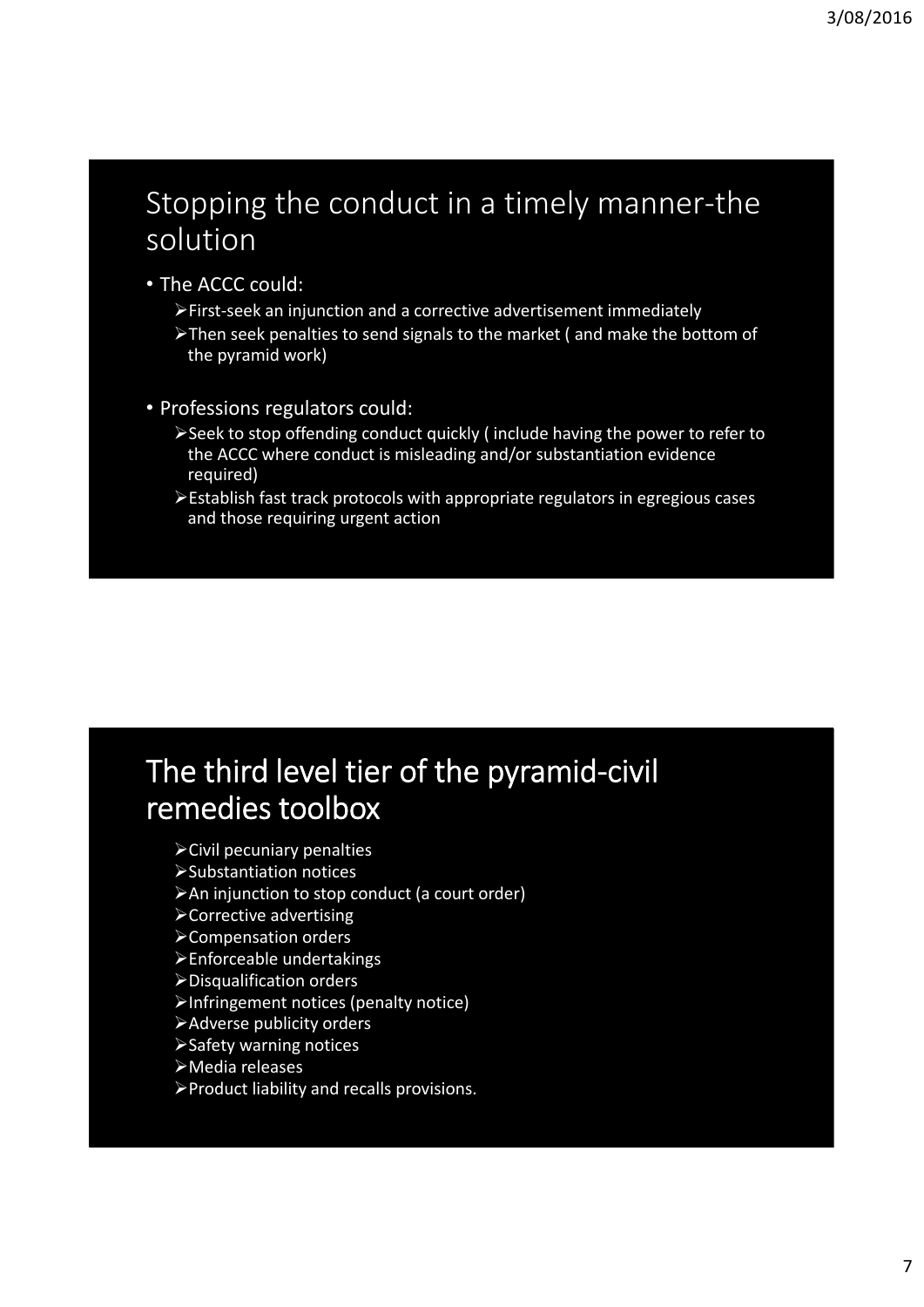#### Stopping the conduct in a timely manner‐the solution

- The ACCC could:
	- First‐seek an injunction and a corrective advertisement immediately
	- Then seek penalties to send signals to the market ( and make the bottom of the pyramid work)
- Professions regulators could:
	- Seek to stop offending conduct quickly ( include having the power to refer to the ACCC where conduct is misleading and/or substantiation evidence required)
	- Establish fast track protocols with appropriate regulators in egregious cases and those requiring urgent action

## The third level tier of the pyramid‐civil remedies toolbox

- Civil pecuniary penalties
- Substantiation notices
- An injunction to stop conduct (a court order)
- Corrective advertising
- Compensation orders
- Enforceable undertakings
- Disqualification orders
- Infringement notices (penalty notice)
- Adverse publicity orders
- Safety warning notices
- Media releases
- Product liability and recalls provisions.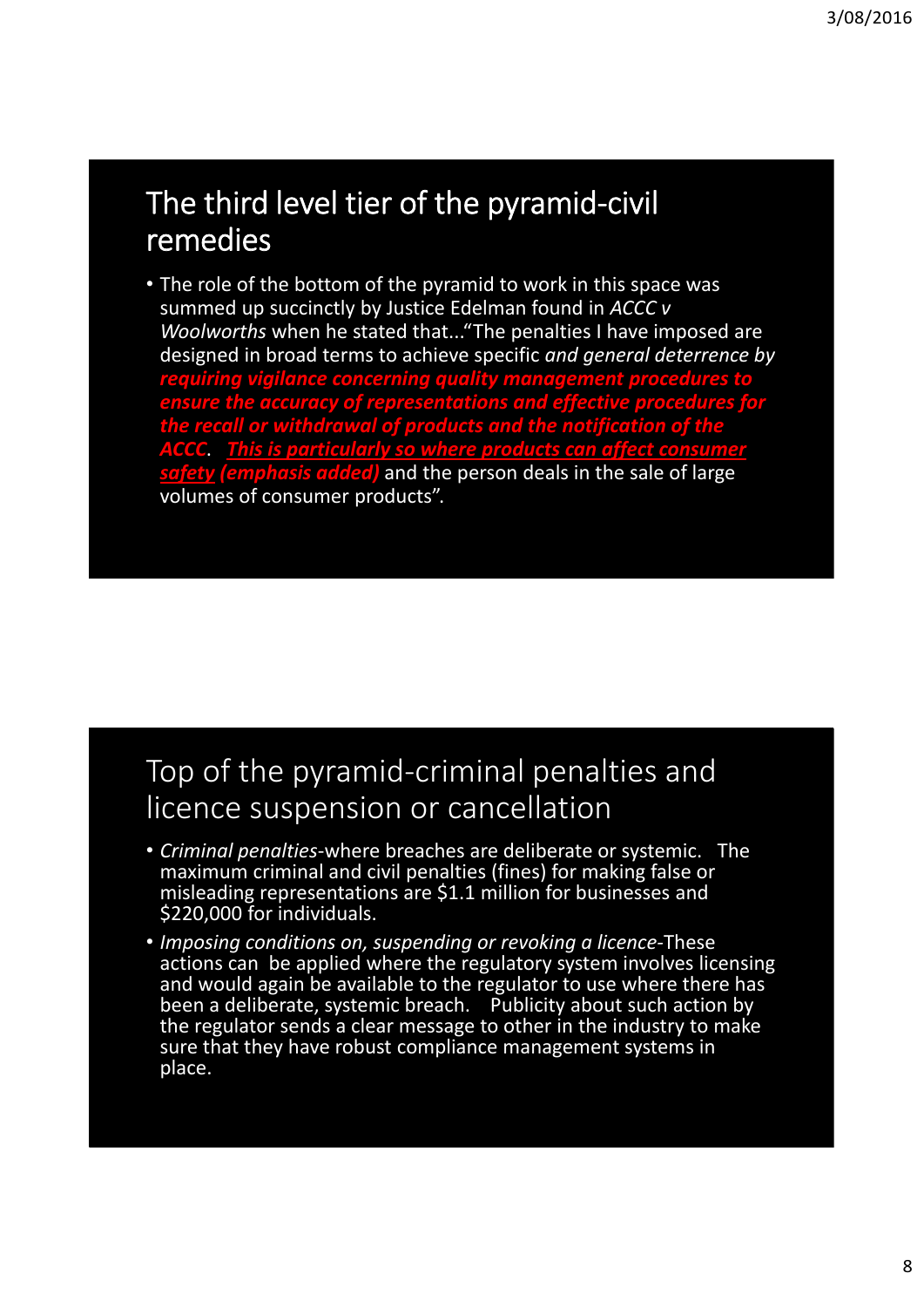#### The third level tier of the pyramid‐civil remedies

• The role of the bottom of the pyramid to work in this space was summed up succinctly by Justice Edelman found in *ACCC v Woolworths* when he stated that..."The penalties I have imposed are designed in broad terms to achieve specific *and general deterrence by requiring vigilance concerning quality management procedures to ensure the accuracy of representations and effective procedures for the recall or withdrawal of products and the notification of the ACCC*. *This is particularly so where products can affect consumer safety (emphasis added)* and the person deals in the sale of large volumes of consumer products".

#### Top of the pyramid‐criminal penalties and licence suspension or cancellation

- *Criminal penalties*‐where breaches are deliberate or systemic. The maximum criminal and civil penalties (fines) for making false or misleading representations are \$1.1 million for businesses and \$220,000 for individuals.
- *Imposing conditions on, suspending or revoking a licence‐*These actions can be applied where the regulatory system involves licensing and would again be available to the regulator to use where there has been a deliberate, systemic breach. Publicity about such action by the regulator sends a clear message to other in the industry to make sure that they have robust compliance management systems in place.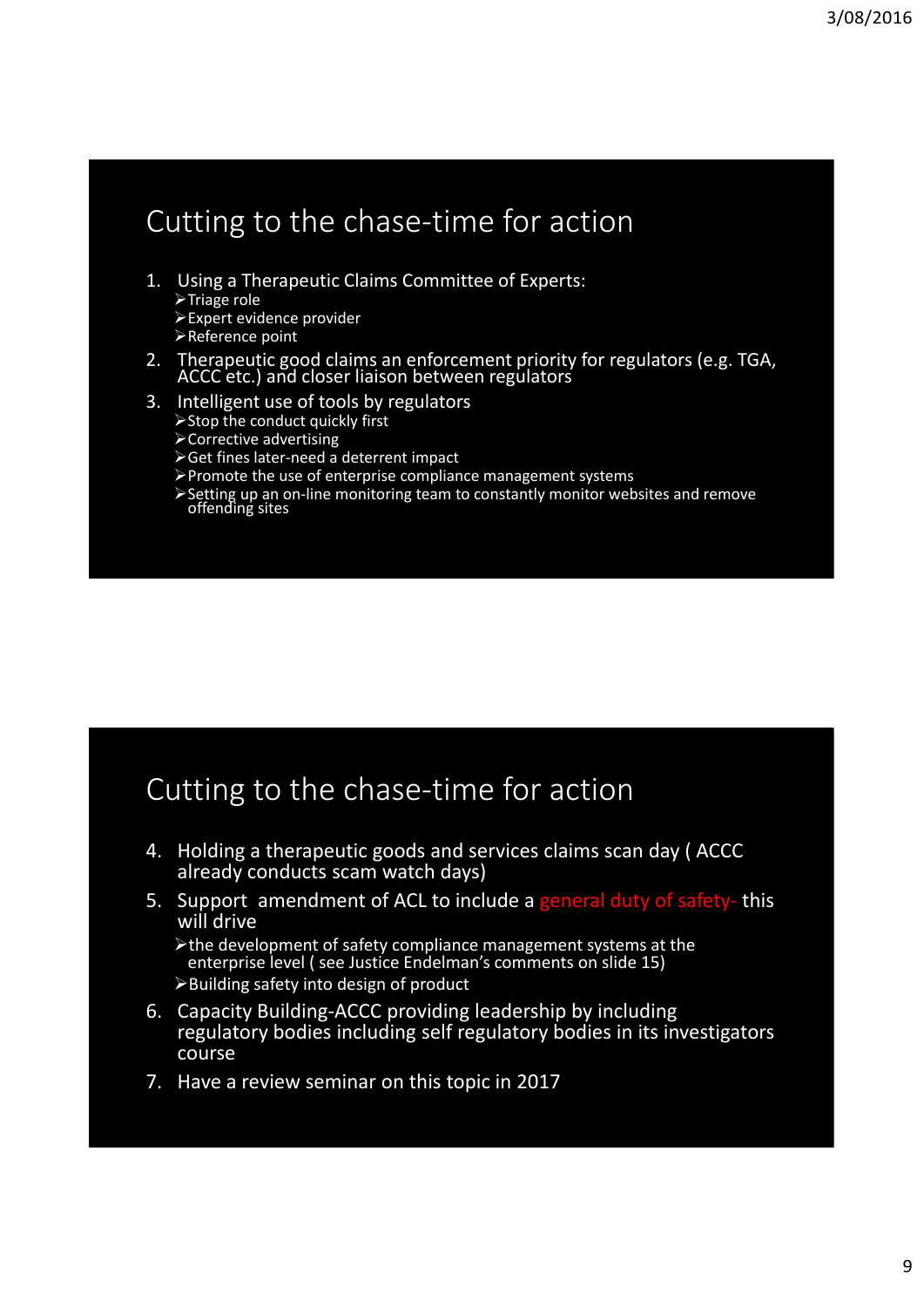#### Cutting to the chase‐time for action

- 1. Using a Therapeutic Claims Committee of Experts:  $\triangleright$ Triage role Expert evidence provider
	- Reference point
- 2. Therapeutic good claims an enforcement priority for regulators (e.g. TGA, ACCC etc.) and closer liaison between regulators
- 3. Intelligent use of tools by regulators
	- $\triangleright$  Stop the conduct quickly first
	- Corrective advertising
	- Get fines later‐need a deterrent impact
	- Promote the use of enterprise compliance management systems
	- Setting up an on‐line monitoring team to constantly monitor websites and remove offending sites

#### Cutting to the chase‐time for action

- 4. Holding a therapeutic goods and services claims scan day ( ACCC already conducts scam watch days)
- 5. Support amendment of ACL to include a general duty of safety-this will drive

the development of safety compliance management systems at the enterprise level ( see Justice Endelman's comments on slide 15) Building safety into design of product

- 6. Capacity Building‐ACCC providing leadership by including regulatory bodies including self regulatory bodies in its investigators course
- 7. Have a review seminar on this topic in 2017